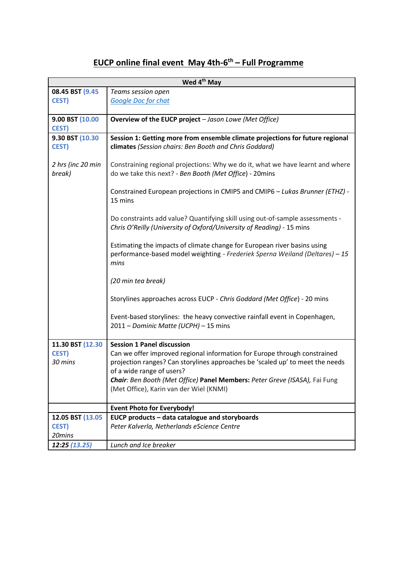## **EUCP online final event May 4th-6 th – Full Programme**

| Wed 4 <sup>th</sup> May         |                                                                                                                                                                  |  |  |  |  |  |
|---------------------------------|------------------------------------------------------------------------------------------------------------------------------------------------------------------|--|--|--|--|--|
| 08.45 BST (9.45                 | Teams session open                                                                                                                                               |  |  |  |  |  |
| <b>CEST)</b>                    | <b>Google Doc for chat</b>                                                                                                                                       |  |  |  |  |  |
|                                 |                                                                                                                                                                  |  |  |  |  |  |
| 9.00 BST (10.00                 | Overview of the EUCP project - Jason Lowe (Met Office)                                                                                                           |  |  |  |  |  |
| <b>CEST)</b>                    |                                                                                                                                                                  |  |  |  |  |  |
| 9.30 BST (10.30<br><b>CEST)</b> | Session 1: Getting more from ensemble climate projections for future regional<br>climates (Session chairs: Ben Booth and Chris Goddard)                          |  |  |  |  |  |
| 2 hrs (inc 20 min<br>break)     | Constraining regional projections: Why we do it, what we have learnt and where<br>do we take this next? - Ben Booth (Met Office) - 20mins                        |  |  |  |  |  |
|                                 | Constrained European projections in CMIP5 and CMIP6 - Lukas Brunner (ETHZ) -<br>15 mins                                                                          |  |  |  |  |  |
|                                 | Do constraints add value? Quantifying skill using out-of-sample assessments -<br>Chris O'Reilly (University of Oxford/University of Reading) - 15 mins           |  |  |  |  |  |
|                                 | Estimating the impacts of climate change for European river basins using<br>performance-based model weighting - Frederiek Sperna Weiland (Deltares) - 15<br>mins |  |  |  |  |  |
|                                 | (20 min tea break)                                                                                                                                               |  |  |  |  |  |
|                                 | Storylines approaches across EUCP - Chris Goddard (Met Office) - 20 mins                                                                                         |  |  |  |  |  |
|                                 | Event-based storylines: the heavy convective rainfall event in Copenhagen,<br>2011 - Dominic Matte (UCPH) - 15 mins                                              |  |  |  |  |  |
| 11.30 BST (12.30                | <b>Session 1 Panel discussion</b>                                                                                                                                |  |  |  |  |  |
| <b>CEST)</b>                    | Can we offer improved regional information for Europe through constrained                                                                                        |  |  |  |  |  |
| 30 mins                         | projection ranges? Can storylines approaches be 'scaled up' to meet the needs                                                                                    |  |  |  |  |  |
|                                 | of a wide range of users?                                                                                                                                        |  |  |  |  |  |
|                                 | Chair: Ben Booth (Met Office) Panel Members: Peter Greve (ISASA), Fai Fung                                                                                       |  |  |  |  |  |
|                                 | (Met Office), Karin van der Wiel (KNMI)                                                                                                                          |  |  |  |  |  |
|                                 | <b>Event Photo for Everybody!</b>                                                                                                                                |  |  |  |  |  |
| 12.05 BST (13.05                | EUCP products - data catalogue and storyboards                                                                                                                   |  |  |  |  |  |
| <b>CEST)</b>                    | Peter Kalverla, Netherlands eScience Centre                                                                                                                      |  |  |  |  |  |
| 20mins                          |                                                                                                                                                                  |  |  |  |  |  |
| 12:25 (13.25)                   | Lunch and Ice breaker                                                                                                                                            |  |  |  |  |  |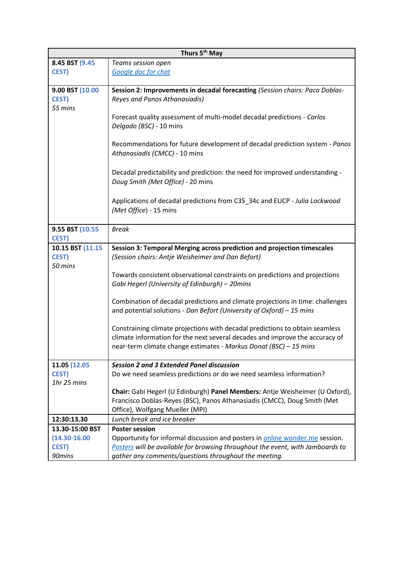| Thurs 5 <sup>th</sup> May |                                                                                |  |  |  |  |
|---------------------------|--------------------------------------------------------------------------------|--|--|--|--|
| 8.45 BST (9.45            | Teams session open                                                             |  |  |  |  |
| <b>CEST)</b>              | Google doc for chat                                                            |  |  |  |  |
|                           |                                                                                |  |  |  |  |
| 9.00 BST (10.00           | Session 2: Improvements in decadal forecasting (Session chairs: Paco Doblas-   |  |  |  |  |
| <b>CEST)</b>              | Reyes and Panos Athanasiadis)                                                  |  |  |  |  |
| 55 mins                   |                                                                                |  |  |  |  |
|                           | Forecast quality assessment of multi-model decadal predictions - Carlos        |  |  |  |  |
|                           | Delgado (BSC) - 10 mins                                                        |  |  |  |  |
|                           |                                                                                |  |  |  |  |
|                           | Recommendations for future development of decadal prediction system - Panos    |  |  |  |  |
|                           | Athanasiadis (CMCC) - 10 mins                                                  |  |  |  |  |
|                           |                                                                                |  |  |  |  |
|                           | Decadal predictability and prediction: the need for improved understanding -   |  |  |  |  |
|                           | Doug Smith (Met Office) - 20 mins                                              |  |  |  |  |
|                           | Applications of decadal predictions from C3S 34c and EUCP - Julia Lockwood     |  |  |  |  |
|                           | (Met Office) - 15 mins                                                         |  |  |  |  |
|                           |                                                                                |  |  |  |  |
| 9.55 BST (10.55)          | <b>Break</b>                                                                   |  |  |  |  |
| <b>CEST)</b>              |                                                                                |  |  |  |  |
| 10.15 BST (11.15          | Session 3: Temporal Merging across prediction and projection timescales        |  |  |  |  |
| <b>CEST)</b>              | (Session chairs: Antje Weisheimer and Dan Befort)                              |  |  |  |  |
| 50 mins                   |                                                                                |  |  |  |  |
|                           | Towards consistent observational constraints on predictions and projections    |  |  |  |  |
|                           | Gabi Hegerl (University of Edinburgh) - 20mins                                 |  |  |  |  |
|                           |                                                                                |  |  |  |  |
|                           | Combination of decadal predictions and climate projections in time: challenges |  |  |  |  |
|                           | and potential solutions - Dan Befort (University of Oxford) - 15 mins          |  |  |  |  |
|                           |                                                                                |  |  |  |  |
|                           | Constraining climate projections with decadal predictions to obtain seamless   |  |  |  |  |
|                           | climate information for the next several decades and improve the accuracy of   |  |  |  |  |
|                           | near-term climate change estimates - Markus Donat (BSC) - 15 mins              |  |  |  |  |
| 11.05 (12.05              | <b>Session 2 and 3 Extended Panel discussion</b>                               |  |  |  |  |
| <b>CEST)</b>              | Do we need seamless predictions or do we need seamless information?            |  |  |  |  |
| 1hr 25 mins               |                                                                                |  |  |  |  |
|                           | Chair: Gabi Hegerl (U Edinburgh) Panel Members: Antje Weisheimer (U Oxford),   |  |  |  |  |
|                           | Francisco Doblas-Reyes (BSC), Panos Athanasiadis (CMCC), Doug Smith (Met       |  |  |  |  |
|                           | Office), Wolfgang Mueller (MPI)                                                |  |  |  |  |
| 12:30:13.30               | Lunch break and ice breaker                                                    |  |  |  |  |
| 13.30-15:00 BST           | <b>Poster session</b>                                                          |  |  |  |  |
| $(14.30 - 16.00)$         | Opportunity for informal discussion and posters in online wonder.me session.   |  |  |  |  |
| <b>CEST)</b>              | Posters will be available for browsing throughout the event, with Jamboards to |  |  |  |  |
| 90mins                    | gather any comments/questions throughout the meeting.                          |  |  |  |  |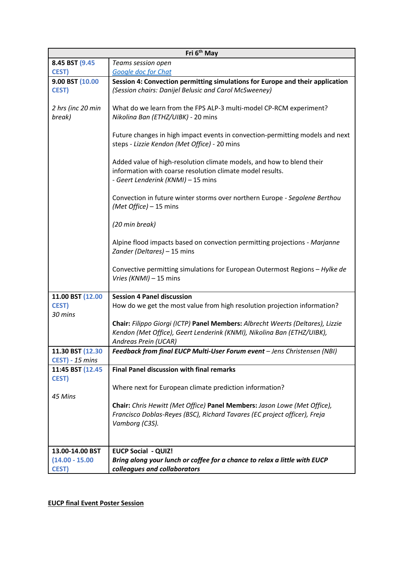| Fri 6 <sup>th</sup> May                       |                                                                                                                                                                                  |  |  |  |  |  |
|-----------------------------------------------|----------------------------------------------------------------------------------------------------------------------------------------------------------------------------------|--|--|--|--|--|
| 8.45 BST (9.45                                | Teams session open                                                                                                                                                               |  |  |  |  |  |
| <b>CEST)</b>                                  | Google doc for Chat                                                                                                                                                              |  |  |  |  |  |
| 9.00 BST (10.00<br><b>CEST)</b>               | Session 4: Convection permitting simulations for Europe and their application<br>(Session chairs: Danijel Belusic and Carol McSweeney)                                           |  |  |  |  |  |
| 2 hrs (inc 20 min<br>break)                   | What do we learn from the FPS ALP-3 multi-model CP-RCM experiment?<br>Nikolina Ban (ETHZ/UIBK) - 20 mins                                                                         |  |  |  |  |  |
|                                               | Future changes in high impact events in convection-permitting models and next<br>steps - Lizzie Kendon (Met Office) - 20 mins                                                    |  |  |  |  |  |
|                                               | Added value of high-resolution climate models, and how to blend their<br>information with coarse resolution climate model results.<br>- Geert Lenderink (KNMI) - 15 mins         |  |  |  |  |  |
|                                               | Convection in future winter storms over northern Europe - Segolene Berthou<br>(Met Office) - 15 mins                                                                             |  |  |  |  |  |
|                                               | (20 min break)                                                                                                                                                                   |  |  |  |  |  |
|                                               | Alpine flood impacts based on convection permitting projections - Marjanne<br>Zander (Deltares) - 15 mins                                                                        |  |  |  |  |  |
|                                               | Convective permitting simulations for European Outermost Regions - Hylke de<br>Vries (KNMI) - 15 mins                                                                            |  |  |  |  |  |
| 11.00 BST (12.00                              | <b>Session 4 Panel discussion</b>                                                                                                                                                |  |  |  |  |  |
| <b>CEST)</b><br>30 mins                       | How do we get the most value from high resolution projection information?                                                                                                        |  |  |  |  |  |
|                                               | Chair: Filippo Giorgi (ICTP) Panel Members: Albrecht Weerts (Deltares), Lizzie<br>Kendon (Met Office), Geert Lenderink (KNMI), Nikolina Ban (ETHZ/UIBK),<br>Andreas Prein (UCAR) |  |  |  |  |  |
| 11.30 BST (12.30                              | Feedback from final EUCP Multi-User Forum event - Jens Christensen (NBI)                                                                                                         |  |  |  |  |  |
| CEST) - 15 mins                               |                                                                                                                                                                                  |  |  |  |  |  |
| 11:45 BST (12.45)<br><b>CEST)</b>             | <b>Final Panel discussion with final remarks</b>                                                                                                                                 |  |  |  |  |  |
| 45 Mins                                       | Where next for European climate prediction information?                                                                                                                          |  |  |  |  |  |
|                                               | Chair: Chris Hewitt (Met Office) Panel Members: Jason Lowe (Met Office),<br>Francisco Doblas-Reyes (BSC), Richard Tavares (EC project officer), Freja<br>Vamborg (C3S).          |  |  |  |  |  |
| 13.00-14.00 BST<br><b>EUCP Social - QUIZ!</b> |                                                                                                                                                                                  |  |  |  |  |  |
| $(14.00 - 15.00)$<br><b>CEST)</b>             | Bring along your lunch or coffee for a chance to relax a little with EUCP<br>colleagues and collaborators                                                                        |  |  |  |  |  |